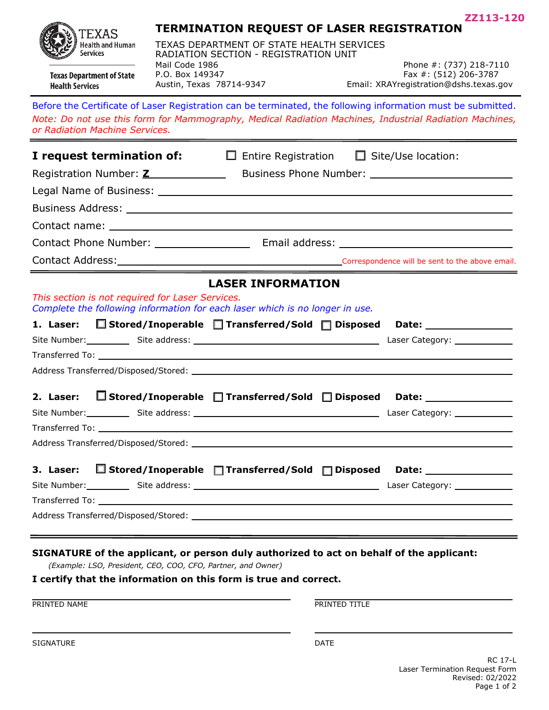**ZZ113-120**



**Texas Department of State** 

**Health Services** 

## **TERMINATION REQUEST OF LASER REGISTRATION**

TEXAS DEPARTMENT OF STATE HEALTH SERVICES RADIATION SECTION - REGISTRATION UNIT Mail Code 1986 P.O. Box 149347<br>Austin, Texas 78714-9347

Phone #: (737) 218-7110 Fax #: (512) 206-3787 Email: XRAYregistration@dshs.texas.gov

## Before the Certificate of Laser Registration can be terminated, the following information must be submitted. *Note: Do not use this form for Mammography, Medical Radiation Machines, Industrial Radiation Machines, or Radiation Machine Services.*

| I request termination of:                                                                                                                                                                                     | $\Box$ Entire Registration $\Box$ Site/Use location:                                    |  |
|---------------------------------------------------------------------------------------------------------------------------------------------------------------------------------------------------------------|-----------------------------------------------------------------------------------------|--|
| Registration Number: <b>Z</b> Business Phone Number: __________________________________                                                                                                                       |                                                                                         |  |
|                                                                                                                                                                                                               |                                                                                         |  |
|                                                                                                                                                                                                               |                                                                                         |  |
|                                                                                                                                                                                                               |                                                                                         |  |
|                                                                                                                                                                                                               |                                                                                         |  |
| Contact Address: Contact Address: Contact Address: Contact Address: Contact Address:<br><u> 1989 - Johann Harry Harry Harry Harry Harry Harry Harry Harry Harry Harry Harry Harry Harry Harry Harry Harry</u> |                                                                                         |  |
|                                                                                                                                                                                                               | <b>LASER INFORMATION</b>                                                                |  |
| This section is not required for Laser Services.<br>Complete the following information for each laser which is no longer in use.                                                                              |                                                                                         |  |
| 1. Laser:                                                                                                                                                                                                     | $\Box$ Stored/Inoperable $\Box$ Transferred/Sold $\Box$ Disposed Date:                  |  |
|                                                                                                                                                                                                               |                                                                                         |  |
|                                                                                                                                                                                                               |                                                                                         |  |
|                                                                                                                                                                                                               |                                                                                         |  |
| 2. Laser:                                                                                                                                                                                                     | $\Box$ Stored/Inoperable $\Box$ Transferred/Sold $\Box$ Disposed Date: ________________ |  |
| Site Number: Site address: Site address: Site and Site Number 2014 [1] Laser Category: Site Number:                                                                                                           |                                                                                         |  |
|                                                                                                                                                                                                               |                                                                                         |  |
|                                                                                                                                                                                                               |                                                                                         |  |
| 3. Laser: $\Box$ Stored/Inoperable $\Box$ Transferred/Sold $\Box$ Disposed Date: _________________________                                                                                                    |                                                                                         |  |
|                                                                                                                                                                                                               |                                                                                         |  |
|                                                                                                                                                                                                               |                                                                                         |  |
|                                                                                                                                                                                                               |                                                                                         |  |
|                                                                                                                                                                                                               |                                                                                         |  |
| SIGNATURE of the applicant, or person duly authorized to act on behalf of the applicant:<br>(Example: LSO, President, CEO, COO, CFO, Partner, and Owner)                                                      |                                                                                         |  |

## **I certify that the information on this form is true and correct.**

**PRINTED NAME** PRINTED TITLE

SIGNATURE DATE